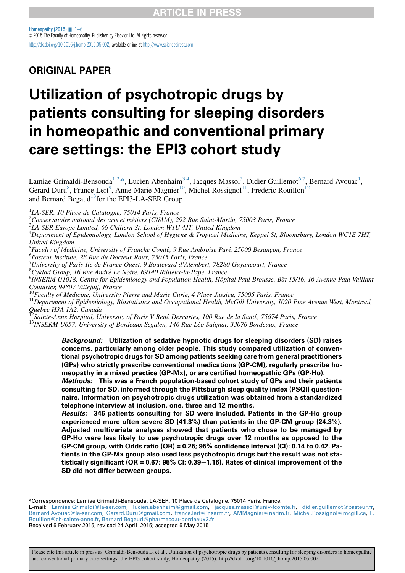[Homeopathy \(2015\)](http://dx.doi.org/10.1016/j.homp.2015.05.002)  $, 1-6$  $, 1-6$  2015 The Faculty of Homeopathy. Published by Elsevier Ltd. All rights reserved. [http://dx.doi.org/10.1016/j.homp.2015.05.002](http://dx.doi.org/http://dx.doi.org/10.1016/j.homp.2015.05.002), available online at <http://www.sciencedirect.com>

## ORIGINAL PAPER

# Utilization of psychotropic drugs by patients consulting for sleeping disorders in homeopathic and conventional primary care settings: the EPI3 cohort study

Lamiae Grimaldi-Bensouda<sup>1,2,\*</sup>, Lucien Abenhaim<sup>3,4</sup>, Jacques Massol<sup>5</sup>, Didier Guillemot<sup>6,7</sup>, Bernard Avouac<sup>1</sup>, Gerard Duru<sup>8</sup>, France Lert<sup>9</sup>, Anne-Marie Magnier<sup>10</sup>, Michel Rossignol<sup>11</sup>, Frederic Rouillon<sup>12</sup> and Bernard Begaud $^{13}$ for the EPI3-LA-SER Group

<sup>1</sup>LA-SER, 10 Place de Catalogne, 75014 Paris, France

<sup>2</sup>Conservatoire national des arts et métiers (CNAM), 292 Rue Saint-Martin, 75003 Paris, France

 $3$ LA-SER Europe Limited, 66 Chiltern St, London W1U 4JT, United Kingdom

4 Department of Epidemiology, London School of Hygiene & Tropical Medicine, Keppel St, Bloomsbury, London WC1E 7HT, United Kingdom

<sup>5</sup> Faculty of Medicine, University of Franche Comté, 9 Rue Ambroise Paré, 25000 Besançon, France<br><sup>6</sup> Pasteur Institute, 28 Rue du Docteur Roux, 75015 Paris, France

Pasteur Institute, 28 Rue du Docteur Roux, 75015 Paris, France

<sup>7</sup>University of Paris-Ile de France Ouest, 9 Boulevard d'Alembert, 78280 Guyancourt, France

<sup>8</sup>Cyklad Group, 16 Rue André Le Nôtre, 69140 Rillieux-la-Pape, France

<sup>9</sup>INSERM U1018, Centre for Epidemiology and Population Health, Hôpital Paul Brousse, Bât 15/16, 16 Avenue Paul Vaillant Couturier, 94807 Villejuif, France<br><sup>10</sup>Faculty of Medicine, University Pierre and Marie Curie, 4 Place Jussieu, 75005 Paris, France

 $11$ Department of Epidemiology, Biostatistics and Occupational Health, McGill University, 1020 Pine Avenue West, Montreal, Quebec H3A 1A2, Canada

 $^{12}$ Sainte-Anne Hospital, University of Paris V René Descartes, 100 Rue de la Santé, 75674 Paris, France

<sup>13</sup>INSERM U657, University of Bordeaux Segalen, 146 Rue Léo Saignat, 33076 Bordeaux, France

Background: Utilization of sedative hypnotic drugs for sleeping disorders (SD) raises concerns, particularly among older people. This study compared utilization of conventional psychotropic drugs for SD among patients seeking care from general practitioners (GPs) who strictly prescribe conventional medications (GP-CM), regularly prescribe homeopathy in a mixed practice (GP-Mx), or are certified homeopathic GPs (GP-Ho).

Methods: This was a French population-based cohort study of GPs and their patients consulting for SD, informed through the Pittsburgh sleep quality index (PSQI) questionnaire. Information on psychotropic drugs utilization was obtained from a standardized telephone interview at inclusion, one, three and 12 months.

Results: 346 patients consulting for SD were included. Patients in the GP-Ho group experienced more often severe SD (41.3%) than patients in the GP-CM group (24.3%). Adjusted multivariate analyses showed that patients who chose to be managed by GP-Ho were less likely to use psychotropic drugs over 12 months as opposed to the GP-CM group, with Odds ratio  $(OR) = 0.25$ ; 95% confidence interval  $(Cl)$ : 0.14 to 0.42. Patients in the GP-Mx group also used less psychotropic drugs but the result was not statistically significant (OR = 0.67; 95% CI: 0.39-1.16). Rates of clinical improvement of the SD did not differ between groups.

\*Correspondence: Lamiae Grimaldi-Bensouda, LA-SER, 10 Place de Catalogne, 75014 Paris, France.

E-mail: [Lamiae.Grimaldi@la-ser.com,](mailto:Lamiae.Grimaldi@la-ser.com) [lucien.abenhaim@gmail.com,](mailto:lucien.abenhaim@gmail.com) [jacques.massol@univ-fcomte.fr,](mailto:jacques.massol@univ-fcomte.fr) [didier.guillemot@pasteur.fr](mailto:didier.guillemot@pasteur.fr), [Bernard.Avouac@la-ser.com](mailto:Bernard.Avouac@la-ser.com), [Gerard.Duru@gmail.com,](mailto:Gerard.Duru@gmail.com) [france.lert@inserm.fr,](mailto:france.lert@inserm.fr) [AMMagnier@nerim.fr,](mailto:AMMagnier@nerim.fr) [Michel.Rossignol@mcgill.ca](mailto:Michel.Rossignol@mcgill.ca), [F.](mailto:F.Rouillon@ch-sainte-anne.fr) [Rouillon@ch-sainte-anne.fr](mailto:F.Rouillon@ch-sainte-anne.fr), [Bernard.Begaud@pharmaco.u-bordeaux2.fr](mailto:Bernard.Begaud@pharmaco.u-bordeaux2.fr)

Received 5 February 2015; revised 24 April 2015; accepted 5 May 2015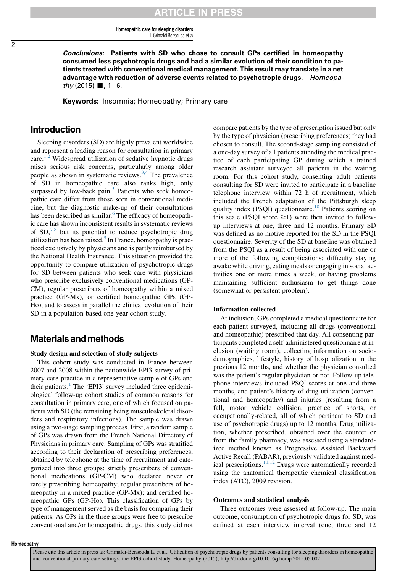RTICLE IN PRESS

Homeopathic care for sleeping disorders L Grimaldi-Bensouda et al

Conclusions: Patients with SD who chose to consult GPs certified in homeopathy consumed less psychotropic drugs and had a similar evolution of their condition to patients treated with conventional medical management. This result may translate in a net advantage with reduction of adverse events related to psychotropic drugs. Homeopathy (2015)  $, 1-6$ .

Keywords: Insomnia; Homeopathy; Primary care

## Introduction

Sleeping disorders (SD) are highly prevalent worldwide and represent a leading reason for consultation in primary  $care.<sup>1,2</sup>$  $care.<sup>1,2</sup>$  $care.<sup>1,2</sup>$  Widespread utilization of sedative hypnotic drugs raises serious risk concerns, particularly among older people as shown in systematic reviews.[3,4](#page-4-0) The prevalence of SD in homeopathic care also ranks high, only surpassed by low-back pain.<sup>[5](#page-4-0)</sup> Patients who seek homeopathic care differ from those seen in conventional medicine, but the diagnostic make-up of their consultations has been described as similar.<sup>[6](#page-4-0)</sup> The efficacy of homeopathic care has shown inconsistent results in systematic reviews of  $SD<sub>1</sub><sup>7,8</sup>$  $SD<sub>1</sub><sup>7,8</sup>$  $SD<sub>1</sub><sup>7,8</sup>$  but its potential to reduce psychotropic drug utilization has been raised. $9 \text{ In France}$  $9 \text{ In France}$ , homeopathy is practiced exclusively by physicians and is partly reimbursed by the National Health Insurance. This situation provided the opportunity to compare utilization of psychotropic drugs for SD between patients who seek care with physicians who prescribe exclusively conventional medications (GP-CM), regular prescribers of homeopathy within a mixed practice (GP-Mx), or certified homeopathic GPs (GP-Ho), and to assess in parallel the clinical evolution of their SD in a population-based one-year cohort study.

## Materialsandmethods

#### Study design and selection of study subjects

This cohort study was conducted in France between 2007 and 2008 within the nationwide EPI3 survey of primary care practice in a representative sample of GPs and their patients.<sup>[1](#page-4-0)</sup> The 'EPI3' survey included three epidemiological follow-up cohort studies of common reasons for consultation in primary care, one of which focused on patients with SD (the remaining being musculoskeletal disorders and respiratory infections). The sample was drawn using a two-stage sampling process. First, a random sample of GPs was drawn from the French National Directory of Physicians in primary care. Sampling of GPs was stratified according to their declaration of prescribing preferences, obtained by telephone at the time of recruitment and categorized into three groups: strictly prescribers of conventional medications (GP-CM) who declared never or rarely prescribing homeopathy; regular prescribers of homeopathy in a mixed practice (GP-Mx); and certified homeopathic GPs (GP-Ho). This classification of GPs by type of management served as the basis for comparing their patients. As GPs in the three groups were free to prescribe conventional and/or homeopathic drugs, this study did not compare patients by the type of prescription issued but only by the type of physician (prescribing preferences) they had chosen to consult. The second-stage sampling consisted of a one-day survey of all patients attending the medical practice of each participating GP during which a trained research assistant surveyed all patients in the waiting room. For this cohort study, consenting adult patients consulting for SD were invited to participate in a baseline telephone interview within 72 h of recruitment, which included the French adaptation of the Pittsburgh sleep quality index (PSQI) questionnaire.<sup>[10](#page-5-0)</sup> Patients scoring on this scale (PSQI score  $\geq$ 1) were then invited to followup interviews at one, three and 12 months. Primary SD was defined as no motive reported for the SD in the PSQI questionnaire. Severity of the SD at baseline was obtained from the PSQI as a result of being associated with one or more of the following complications: difficulty staying awake while driving, eating meals or engaging in social activities one or more times a week, or having problems maintaining sufficient enthusiasm to get things done (somewhat or persistent problem).

#### Information collected

At inclusion, GPs completed a medical questionnaire for each patient surveyed, including all drugs (conventional and homeopathic) prescribed that day. All consenting participants completed a self-administered questionnaire at inclusion (waiting room), collecting information on sociodemographics, lifestyle, history of hospitalization in the previous 12 months, and whether the physician consulted was the patient's regular physician or not. Follow-up telephone interviews included PSQI scores at one and three months, and patient's history of drug utilization (conventional and homeopathy) and injuries (resulting from a fall, motor vehicle collision, practice of sports, or occupationally-related, all of which pertinent to SD and use of psychotropic drugs) up to 12 months. Drug utilization, whether prescribed, obtained over the counter or from the family pharmacy, was assessed using a standardized method known as Progressive Assisted Backward Active Recall (PABAR), previously validated against med-ical prescriptions.<sup>[11,12](#page-5-0)</sup> Drugs were automatically recorded using the anatomical therapeutic chemical classification index (ATC), 2009 revision.

#### Outcomes and statistical analysis

Three outcomes were assessed at follow-up. The main outcome, consumption of psychotropic drugs for SD, was defined at each interview interval (one, three and 12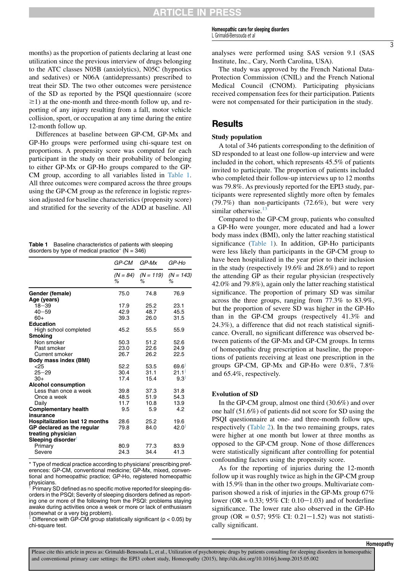<span id="page-2-0"></span>months) as the proportion of patients declaring at least one utilization since the previous interview of drugs belonging to the ATC classes N05B (anxiolytics), N05C (hypnotics and sedatives) or N06A (antidepressants) prescribed to treat their SD. The two other outcomes were persistence of the SD as reported by the PSQI questionnaire (score  $\geq$ 1) at the one-month and three-month follow up, and reporting of any injury resulting from a fall, motor vehicle collision, sport, or occupation at any time during the entire 12-month follow up.

Differences at baseline between GP-CM, GP-Mx and GP-Ho groups were performed using chi-square test on proportions. A propensity score was computed for each participant in the study on their probability of belonging to either GP-Mx or GP-Ho groups compared to the GP-CM group, according to all variables listed in Table 1. All three outcomes were compared across the three groups using the GP-CM group as the reference in logistic regression adjusted for baseline characteristics (propensity score) and stratified for the severity of the ADD at baseline. All

Table 1 Baseline characteristics of patients with sleeping disorders by type of medical practice\*  $(N = 346)$ 

|                                       | GP-CM           | GP-Mx            | GP-Ho             |
|---------------------------------------|-----------------|------------------|-------------------|
|                                       | $(N = 84)$<br>℅ | $(N = 119)$<br>% | $(N = 143)$<br>℅  |
| Gender (female)                       | 75.0            | 74.8             | 76.9              |
| Age (years)                           |                 |                  |                   |
| $18 - 39$                             | 17.9            | 25.2             | 23.1              |
| $40 - 59$                             | 42.9            | 48.7             | 45.5              |
| $60+$                                 | 39.3            | 26.0             | 31.5              |
| <b>Education</b>                      |                 |                  |                   |
| High school completed                 | 45.2            | 55.5             | 55.9              |
| <b>Smoking</b>                        |                 |                  |                   |
| Non smoker                            | 50.3            | 51.2             | 52.6              |
| Past smoker                           | 23.0            | 22.6             | 24.9              |
| Current smoker                        | 26.7            | 26.2             | 22.5              |
| Body mass index (BMI)                 |                 |                  |                   |
| < 25                                  | 52.2            | 53.5             | $69.6^{\ddagger}$ |
| $25 - 29$                             | 30.4            | 31.1             | $21.1^{\ddagger}$ |
| $30+$                                 | 17.4            | 15.4             | $9.3^{\ddagger}$  |
| <b>Alcohol consumption</b>            |                 |                  |                   |
| Less than once a week                 | 39.8            | 37.3             | 31.8              |
| Once a week                           | 48.5            | 51.9             | 54.3              |
| Daily                                 | 11.7            | 10.8             | 13.9              |
| <b>Complementary health</b>           | 9.5             | 5.9              | 4.2               |
| insurance                             |                 |                  |                   |
| <b>Hospitalization last 12 months</b> | 28.6            | 25.2             | 19.6              |
| GP declared as the regular            | 79.8            | 84.0             | $42.0^{\ddagger}$ |
| treating physician                    |                 |                  |                   |
| Sleeping disorder <sup>t</sup>        |                 |                  |                   |
| Primary                               | 80.9            | 77.3             | 83.9              |
| Severe                                | 24.3            | 34.4             | 41.3              |
|                                       |                 |                  |                   |

\* Type of medical practice according to physicians' prescribing preferences: GP-CM, conventional medicine; GP-Mx, mixed, conventional and homeopathic practice; GP-Ho, registered homeopathic physicians.

 $\dagger$  Primary SD defined as no specific motive reported for sleeping disorders in the PSQI; Severity of sleeping disorders defined as reporting one or more of the following from the PSQI: problems staying awake during activities once a week or more or lack of enthusiasm (somewhat or a very big problem).

 $*$  Difference with GP-CM group statistically significant (p < 0.05) by chi-square test.

Homeopathic care for sleeping disorders L Grimaldi-Bensouda et al

analyses were performed using SAS version 9.1 (SAS Institute, Inc., Cary, North Carolina, USA).

The study was approved by the French National Data-Protection Commission (CNIL) and the French National Medical Council (CNOM). Participating physicians received compensation fees for their participation. Patients were not compensated for their participation in the study.

## **Results**

#### Study population

A total of 346 patients corresponding to the definition of SD responded to at least one follow-up interview and were included in the cohort, which represents 45.5% of patients invited to participate. The proportion of patients included who completed their follow-up interviews up to 12 months was 79.8%. As previously reported for the EPI3 study, participants were represented slightly more often by females (79.7%) than non-participants (72.6%), but were very similar otherwise. $1$ 

Compared to the GP-CM group, patients who consulted a GP-Ho were younger, more educated and had a lower body mass index (BMI), only the latter reaching statistical significance (Table 1). In addition, GP-Ho participants were less likely than participants in the GP-CM group to have been hospitalized in the year prior to their inclusion in the study (respectively 19.6% and 28.6%) and to report the attending GP as their regular physician (respectively 42.0% and 79.8%), again only the latter reaching statistical significance. The proportion of primary SD was similar across the three groups, ranging from 77.3% to 83.9%, but the proportion of severe SD was higher in the GP-Ho than in the GP-CM groups (respectively 41.3% and 24.3%), a difference that did not reach statistical significance. Overall, no significant difference was observed between patients of the GP-Mx and GP-CM groups. In terms of homeopathic drug prescription at baseline, the proportions of patients receiving at least one prescription in the groups GP-CM, GP-Mx and GP-Ho were 0.8%, 7.8% and 65.4%, respectively.

#### Evolution of SD

In the GP-CM group, almost one third (30.6%) and over one half (51.6%) of patients did not score for SD using the PSQI questionnaire at one- and three-month follow ups, respectively [\(Table 2](#page-3-0)). In the two remaining groups, rates were higher at one month but lower at three months as opposed to the GP-CM group. None of those differences were statistically significant after controlling for potential confounding factors using the propensity score.

As for the reporting of injuries during the 12-month follow up it was roughly twice as high in the GP-CM group with 15.9% than in the other two groups. Multivariate comparison showed a risk of injuries in the GP-Mx group 67% lower (OR = 0.33; 95% CI: 0.10–1.03) and of borderline significance. The lower rate also observed in the GP-Ho group (OR =  $0.57$ ; 95% CI:  $0.21 - 1.52$ ) was not statistically significant.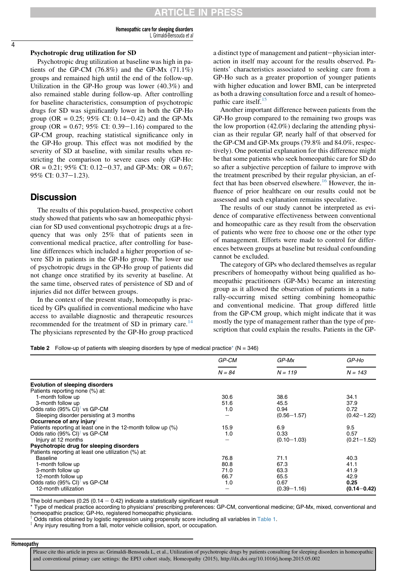#### <span id="page-3-0"></span>Psychotropic drug utilization for SD

Psychotropic drug utilization at baseline was high in patients of the GP-CM  $(76.8\%)$  and the GP-Mx  $(71.1\%)$ groups and remained high until the end of the follow-up. Utilization in the GP-Ho group was lower (40.3%) and also remained stable during follow-up. After controlling for baseline characteristics, consumption of psychotropic drugs for SD was significantly lower in both the GP-Ho group (OR =  $0.25$ ; 95% CI:  $0.14 - 0.42$ ) and the GP-Mx group (OR =  $0.67$ ; 95% CI: 0.39–1.16) compared to the GP-CM group, reaching statistical significance only in the GP-Ho group. This effect was not modified by the severity of SD at baseline, with similar results when restricting the comparison to severe cases only (GP-Ho: OR =  $0.21$ ; 95% CI: 0.12–0.37, and GP-Mx: OR = 0.67;  $95\%$  CI: 0.37-1.23).

## **Discussion**

The results of this population-based, prospective cohort study showed that patients who saw an homeopathic physician for SD used conventional psychotropic drugs at a frequency that was only 25% that of patients seen in conventional medical practice, after controlling for baseline differences which included a higher proportion of severe SD in patients in the GP-Ho group. The lower use of psychotropic drugs in the GP-Ho group of patients did not change once stratified by its severity at baseline. At the same time, observed rates of persistence of SD and of injuries did not differ between groups.

In the context of the present study, homeopathy is practiced by GPs qualified in conventional medicine who have access to available diagnostic and therapeutic resources recommended for the treatment of SD in primary care.<sup>[14](#page-5-0)</sup> The physicians represented by the GP-Ho group practiced a distinct type of management and patient-physician interaction in itself may account for the results observed. Patients' characteristics associated to seeking care from a GP-Ho such as a greater proportion of younger patients with higher education and lower BMI, can be interpreted as both a drawing consultation force and a result of homeo-pathic care itself.<sup>[15](#page-5-0)</sup>

Another important difference between patients from the GP-Ho group compared to the remaining two groups was the low proportion (42.0%) declaring the attending physician as their regular GP, nearly half of that observed for the GP-CM and GP-Mx groups (79.8% and 84.0%, respectively). One potential explanation for this difference might be that some patients who seek homeopathic care for SD do so after a subjective perception of failure to improve with the treatment prescribed by their regular physician, an ef-fect that has been observed elsewhere.<sup>[16](#page-5-0)</sup> However, the influence of prior healthcare on our results could not be assessed and such explanation remains speculative.

The results of our study cannot be interpreted as evidence of comparative effectiveness between conventional and homeopathic care as they result from the observation of patients who were free to choose one or the other type of management. Efforts were made to control for differences between groups at baseline but residual confounding cannot be excluded.

The category of GPs who declared themselves as regular prescribers of homeopathy without being qualified as homeopathic practitioners (GP-Mx) became an interesting group as it allowed the observation of patients in a naturally-occurring mixed setting combining homeopathic and conventional medicine. That group differed little from the GP-CM group, which might indicate that it was mostly the type of management rather than the type of prescription that could explain the results. Patients in the GP-

**Table 2** Follow-up of patients with sleeping disorders by type of medical practice\* ( $N = 346$ )

|                                                               | GP-CM<br>$N = 84$ | GP-Mx<br>$N = 119$ | GP-Ho<br>$N = 143$ |
|---------------------------------------------------------------|-------------------|--------------------|--------------------|
|                                                               |                   |                    |                    |
| <b>Evolution of sleeping disorders</b>                        |                   |                    |                    |
| Patients reporting none (%) at:                               |                   |                    |                    |
| 1-month follow up                                             | 30.6              | 38.6               | 34.1               |
| 3-month follow up                                             | 51.6              | 45.5               | 37.9               |
| Odds ratio (95% CI) <sup>†</sup> vs GP-CM                     | 1.0               | 0.94               | 0.72               |
| Sleeping disorder persisting at 3 months                      |                   | $(0.56 - 1.57)$    | $(0.42 - 1.22)$    |
| Occurrence of any injury $\overline{a}$                       |                   |                    |                    |
| Patients reporting at least one in the 12-month follow up (%) | 15.9              | 6.9                | 9.5                |
| Odds ratio (95% CI) <sup>†</sup> vs GP-CM                     | 1.0               | 0.33               | 0.57               |
| Injury at 12 months                                           |                   | $(0.10 - 1.03)$    | $(0.21 - 1.52)$    |
| Psychotropic drug for sleeping disorders                      |                   |                    |                    |
| Patients reporting at least one utilization (%) at:           |                   |                    |                    |
| Baseline                                                      | 76.8              | 71.1               | 40.3               |
| 1-month follow up                                             | 80.8              | 67.3               | 41.1               |
| 3-month follow up                                             | 71.0              | 63.3               | 41.9               |
| 12-month follow up                                            | 66.7              | 65.5               | 42.9               |
| Odds ratio (95% CI) <sup>†</sup> vs GP-CM                     | 1.0               | 0.67               | 0.25               |
| 12-month utilization                                          |                   | $(0.39 - 1.16)$    | $(0.14 - 0.42)$    |

The bold numbers (0.25 (0.14  $-$  0.42) indicate a statistically significant result

Type of medical practice according to physicians' prescribing preferences: GP-CM, conventional medicine; GP-Mx, mixed, conventional and homeopathic practice; GP-Ho, registered homeopathic physicians.

Odds ratios obtained by logistic regression using propensity score including all variables in [Table 1.](#page-2-0)

 $*$  Any injury resulting from a fall, motor vehicle collision, sport, or occupation.

#### **Homeopathy**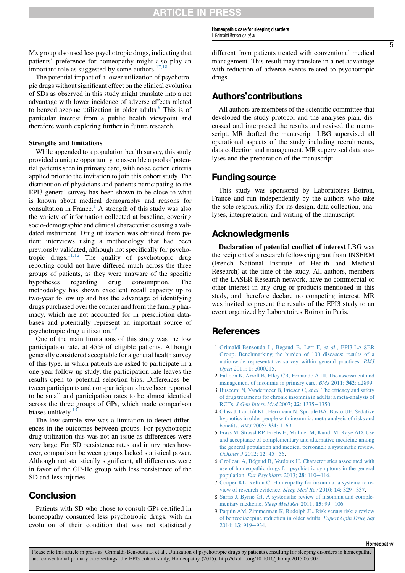<span id="page-4-0"></span>Mx group also used less psychotropic drugs, indicating that patients' preference for homeopathy might also play an important role as suggested by some authors.  $17,18$ 

The potential impact of a lower utilization of psychotropic drugs without significant effect on the clinical evolution of SDs as observed in this study might translate into a net advantage with lower incidence of adverse effects related to benzodiazepine utilization in older adults.<sup>9</sup> This is of particular interest from a public health viewpoint and therefore worth exploring further in future research.

#### Strengths and limitations

While appended to a population health survey, this study provided a unique opportunity to assemble a pool of potential patients seen in primary care, with no selection criteria applied prior to the invitation to join this cohort study. The distribution of physicians and patients participating to the EPI3 general survey has been shown to be close to what is known about medical demography and reasons for consultation in France.<sup>1</sup> A strength of this study was also the variety of information collected at baseline, covering socio-demographic and clinical characteristics using a validated instrument. Drug utilization was obtained from patient interviews using a methodology that had been previously validated, although not specifically for psychotropic drugs. $\frac{11,12}{1}$  $\frac{11,12}{1}$  $\frac{11,12}{1}$  The quality of psychotropic drug reporting could not have differed much across the three groups of patients, as they were unaware of the specific hypotheses regarding drug consumption. The methodology has shown excellent recall capacity up to two-year follow up and has the advantage of identifying drugs purchased over the counter and from the family pharmacy, which are not accounted for in prescription databases and potentially represent an important source of psychotropic drug utilization[.19](#page-5-0)

One of the main limitations of this study was the low participation rate, at 45% of eligible patients. Although generally considered acceptable for a general health survey of this type, in which patients are asked to participate in a one-year follow-up study, the participation rate leaves the results open to potential selection bias. Differences between participants and non-participants have been reported to be small and participation rates to be almost identical across the three groups of GPs, which made comparison biases unlikely.<sup>1</sup>

The low sample size was a limitation to detect differences in the outcomes between groups. For psychotropic drug utilization this was not an issue as differences were very large. For SD persistence rates and injury rates however, comparison between groups lacked statistical power. Although not statistically significant, all differences were in favor of the GP-Ho group with less persistence of the SD and less injuries.

## **Conclusion**

Patients with SD who chose to consult GPs certified in homeopathy consumed less psychotropic drugs, with an evolution of their condition that was not statistically Homeopathic care for sleeping disorders L Grimaldi-Bensouda et al

different from patients treated with conventional medical management. This result may translate in a net advantage with reduction of adverse events related to psychotropic drugs.

## Authors'contributions

All authors are members of the scientific committee that developed the study protocol and the analyses plan, discussed and interpreted the results and revised the manuscript. MR drafted the manuscript. LBG supervised all operational aspects of the study including recruitments, data collection and management. MR supervised data analyses and the preparation of the manuscript.

### **Funding source**

This study was sponsored by Laboratoires Boiron, France and run independently by the authors who take the sole responsibility for its design, data collection, analyses, interpretation, and writing of the manuscript.

## Acknowledgments

Declaration of potential conflict of interest LBG was the recipient of a research fellowship grant from INSERM (French National Institute of Health and Medical Research) at the time of the study. All authors, members of the LASER-Research network, have no commercial or other interest in any drug or products mentioned in this study, and therefore declare no competing interest. MR was invited to present the results of the EPI3 study to an event organized by Laboratoires Boiron in Paris.

## **References**

- 1 [Grimaldi-Bensouda L, Begaud B, Lert F,](http://refhub.elsevier.com/S1475-4916(15)00029-6/sref1) et al., EPI3-LA-SER [Group. Benchmarking the burden of 100 diseases: results of a](http://refhub.elsevier.com/S1475-4916(15)00029-6/sref1) [nationwide representative survey within general practices.](http://refhub.elsevier.com/S1475-4916(15)00029-6/sref1) BMJ Open 2011; 1[: e000215.](http://refhub.elsevier.com/S1475-4916(15)00029-6/sref1)
- 2 [Falloon K, Arroll B, Elley CR, Fernando A III. The assessment and](http://refhub.elsevier.com/S1475-4916(15)00029-6/sref2) [management of insomnia in primary care.](http://refhub.elsevier.com/S1475-4916(15)00029-6/sref2) BMJ 2011; 342: d2899.
- 3 [Buscemi N, Vandermeer B, Friesen C,](http://refhub.elsevier.com/S1475-4916(15)00029-6/sref3) et al. The efficacy and safety [of drug treatments for chronic insomnia in adults: a meta-analysis of](http://refhub.elsevier.com/S1475-4916(15)00029-6/sref3) RCTs. [J Gen Intern Med](http://refhub.elsevier.com/S1475-4916(15)00029-6/sref3) 2007; 22: 1335-[1350.](http://refhub.elsevier.com/S1475-4916(15)00029-6/sref3)
- 4 [Glass J, Lanct](http://refhub.elsevier.com/S1475-4916(15)00029-6/sref4)ô[t KL, Herrmann N, Sproule BA, Busto UE. Sedative](http://refhub.elsevier.com/S1475-4916(15)00029-6/sref4) [hypnotics in older people with insomnia: meta-analysis of risks and](http://refhub.elsevier.com/S1475-4916(15)00029-6/sref4) [benefits.](http://refhub.elsevier.com/S1475-4916(15)00029-6/sref4) BMJ 2005; 331: 1169.
- 5 [Frass M, Strassl RP, Friehs H, M](http://refhub.elsevier.com/S1475-4916(15)00029-6/sref5)üllner M, Kundi M, Kaye AD. Use [and acceptance of complementary and alternative medicine among](http://refhub.elsevier.com/S1475-4916(15)00029-6/sref5) [the general population and medical personnel: a systematic review.](http://refhub.elsevier.com/S1475-4916(15)00029-6/sref5) [Ochsner J](http://refhub.elsevier.com/S1475-4916(15)00029-6/sref5) 2012; 12: 45-[56](http://refhub.elsevier.com/S1475-4916(15)00029-6/sref5).
- 6 [Grolleau A, B](http://refhub.elsevier.com/S1475-4916(15)00029-6/sref6)e[gaud B, Verdoux H. Characteristics associated with](http://refhub.elsevier.com/S1475-4916(15)00029-6/sref6) [use of homeopathic drugs for psychiatric symptoms in the general](http://refhub.elsevier.com/S1475-4916(15)00029-6/sref6) population. [Eur Psychiatry](http://refhub.elsevier.com/S1475-4916(15)00029-6/sref6) 2013;  $28: 110-116$  $28: 110-116$ .
- 7 [Cooper KL, Relton C. Homeopathy for insomnia: a systematic re](http://refhub.elsevier.com/S1475-4916(15)00029-6/sref7)[view of research evidence.](http://refhub.elsevier.com/S1475-4916(15)00029-6/sref7) Sleep Med Rev 2010; 14: 329-[337](http://refhub.elsevier.com/S1475-4916(15)00029-6/sref7).
- 8 [Sarris J, Byrne GJ. A systematic review of insomnia and comple](http://refhub.elsevier.com/S1475-4916(15)00029-6/sref8)[mentary medicine.](http://refhub.elsevier.com/S1475-4916(15)00029-6/sref8) Sleep Med Rev 2011; 15: 99-[106.](http://refhub.elsevier.com/S1475-4916(15)00029-6/sref8)
- 9 [Paquin AM, Zimmerman K, Rudolph JL. Risk versus risk: a review](http://refhub.elsevier.com/S1475-4916(15)00029-6/sref9) [of benzodiazepine reduction in older adults.](http://refhub.elsevier.com/S1475-4916(15)00029-6/sref9) Expert Opin Drug Saf [2014;](http://refhub.elsevier.com/S1475-4916(15)00029-6/sref9) 13: 919-[934.](http://refhub.elsevier.com/S1475-4916(15)00029-6/sref9)

Please cite this article in press as: Grimaldi-Bensouda L, et al., Utilization of psychotropic drugs by patients consulting for sleeping disorders in homeopathic and conventional primary care settings: the EPI3 cohort study, Homeopathy (2015), http://dx.doi.org/10.1016/j.homp.2015.05.002

5